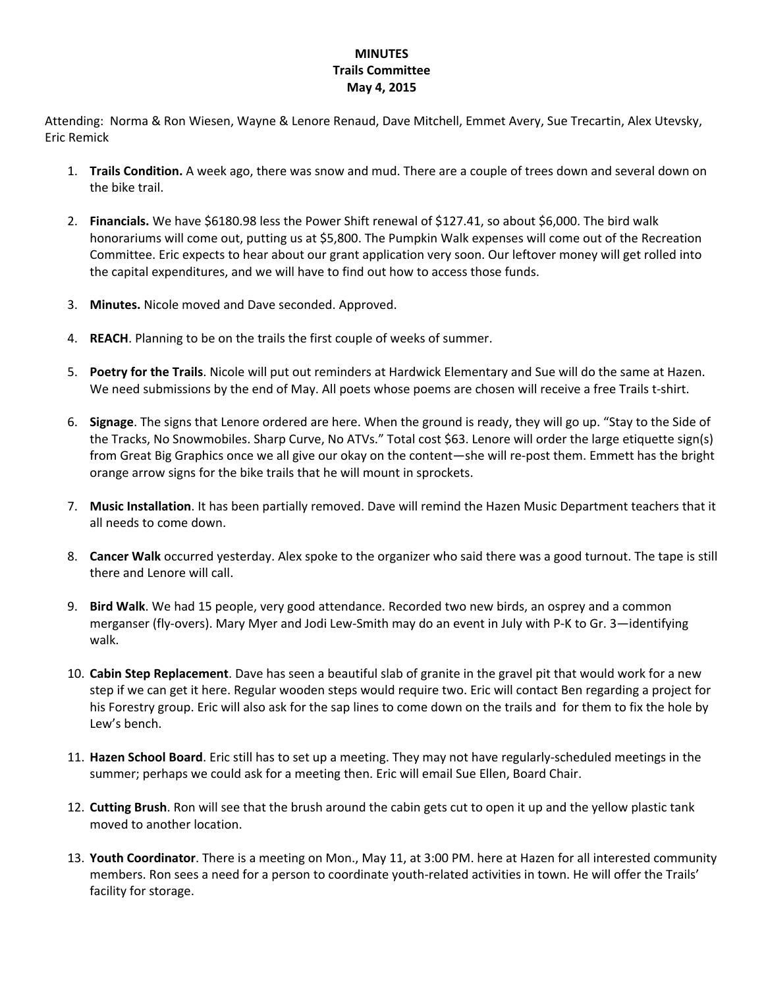## **MINUTES Trails Committee May 4, 2015**

Attending: Norma & Ron Wiesen, Wayne & Lenore Renaud, Dave Mitchell, Emmet Avery, Sue Trecartin, Alex Utevsky, Eric Remick

- 1. **Trails Condition.** A week ago, there was snow and mud. There are a couple of trees down and several down on the bike trail.
- 2. **Financials.** We have \$6180.98 less the Power Shift renewal of \$127.41, so about \$6,000. The bird walk honorariums will come out, putting us at \$5,800. The Pumpkin Walk expenses will come out of the Recreation Committee. Eric expects to hear about our grant application very soon. Our leftover money will get rolled into the capital expenditures, and we will have to find out how to access those funds.
- 3. **Minutes.** Nicole moved and Dave seconded. Approved.
- 4. **REACH**. Planning to be on the trails the first couple of weeks of summer.
- 5. **Poetry for the Trails**. Nicole will put out reminders at Hardwick Elementary and Sue will do the same at Hazen. We need submissions by the end of May. All poets whose poems are chosen will receive a free Trails t-shirt.
- 6. **Signage**. The signs that Lenore ordered are here. When the ground is ready, they will go up. "Stay to the Side of the Tracks, No Snowmobiles. Sharp Curve, No ATVs." Total cost \$63. Lenore will order the large etiquette sign(s) from Great Big Graphics once we all give our okay on the content—she will re-post them. Emmett has the bright orange arrow signs for the bike trails that he will mount in sprockets.
- 7. **Music Installation**. It has been partially removed. Dave will remind the Hazen Music Department teachers that it all needs to come down.
- 8. **Cancer Walk** occurred yesterday. Alex spoke to the organizer who said there was a good turnout. The tape is still there and Lenore will call.
- 9. **Bird Walk**. We had 15 people, very good attendance. Recorded two new birds, an osprey and a common merganser (fly-overs). Mary Myer and Jodi Lew-Smith may do an event in July with P-K to Gr. 3—identifying walk.
- 10. **Cabin Step Replacement**. Dave has seen a beautiful slab of granite in the gravel pit that would work for a new step if we can get it here. Regular wooden steps would require two. Eric will contact Ben regarding a project for his Forestry group. Eric will also ask for the sap lines to come down on the trails and for them to fix the hole by Lew's bench.
- 11. **Hazen School Board**. Eric still has to set up a meeting. They may not have regularly‐scheduled meetings in the summer; perhaps we could ask for a meeting then. Eric will email Sue Ellen, Board Chair.
- 12. **Cutting Brush**. Ron will see that the brush around the cabin gets cut to open it up and the yellow plastic tank moved to another location.
- 13. **Youth Coordinator**. There is a meeting on Mon., May 11, at 3:00 PM. here at Hazen for all interested community members. Ron sees a need for a person to coordinate youth‐related activities in town. He will offer the Trails' facility for storage.